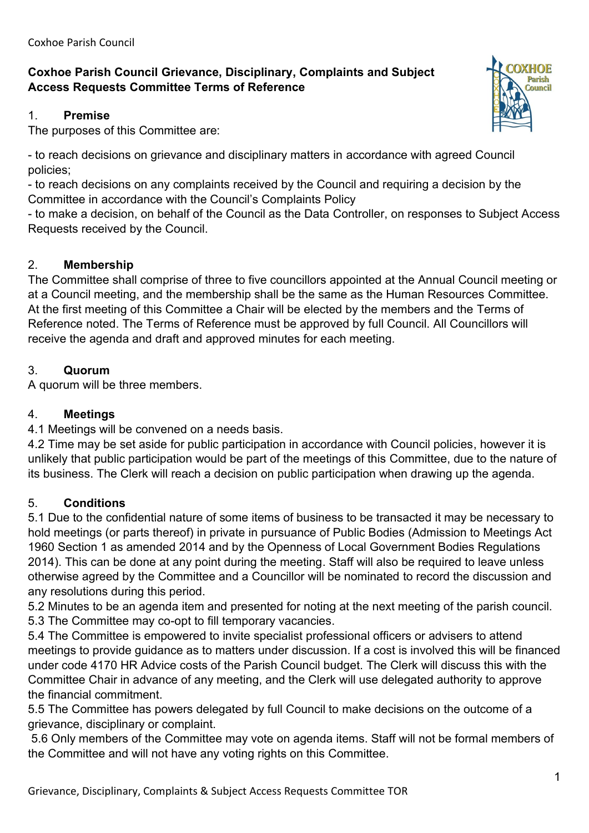# **Coxhoe Parish Council Grievance, Disciplinary, Complaints and Subject Access Requests Committee Terms of Reference**

### 1. **Premise**

The purposes of this Committee are:

- to reach decisions on grievance and disciplinary matters in accordance with agreed Council policies;

- to reach decisions on any complaints received by the Council and requiring a decision by the Committee in accordance with the Council's Complaints Policy

- to make a decision, on behalf of the Council as the Data Controller, on responses to Subject Access Requests received by the Council.

## 2. **Membership**

The Committee shall comprise of three to five councillors appointed at the Annual Council meeting or at a Council meeting, and the membership shall be the same as the Human Resources Committee. At the first meeting of this Committee a Chair will be elected by the members and the Terms of Reference noted. The Terms of Reference must be approved by full Council. All Councillors will receive the agenda and draft and approved minutes for each meeting.

## 3. **Quorum**

A quorum will be three members.

## 4. **Meetings**

4.1 Meetings will be convened on a needs basis.

4.2 Time may be set aside for public participation in accordance with Council policies, however it is unlikely that public participation would be part of the meetings of this Committee, due to the nature of its business. The Clerk will reach a decision on public participation when drawing up the agenda.

## 5. **Conditions**

5.1 Due to the confidential nature of some items of business to be transacted it may be necessary to hold meetings (or parts thereof) in private in pursuance of Public Bodies (Admission to Meetings Act 1960 Section 1 as amended 2014 and by the Openness of Local Government Bodies Regulations 2014). This can be done at any point during the meeting. Staff will also be required to leave unless otherwise agreed by the Committee and a Councillor will be nominated to record the discussion and any resolutions during this period.

5.2 Minutes to be an agenda item and presented for noting at the next meeting of the parish council. 5.3 The Committee may co-opt to fill temporary vacancies.

5.4 The Committee is empowered to invite specialist professional officers or advisers to attend meetings to provide guidance as to matters under discussion. If a cost is involved this will be financed under code 4170 HR Advice costs of the Parish Council budget. The Clerk will discuss this with the Committee Chair in advance of any meeting, and the Clerk will use delegated authority to approve the financial commitment.

5.5 The Committee has powers delegated by full Council to make decisions on the outcome of a grievance, disciplinary or complaint.

5.6 Only members of the Committee may vote on agenda items. Staff will not be formal members of the Committee and will not have any voting rights on this Committee.